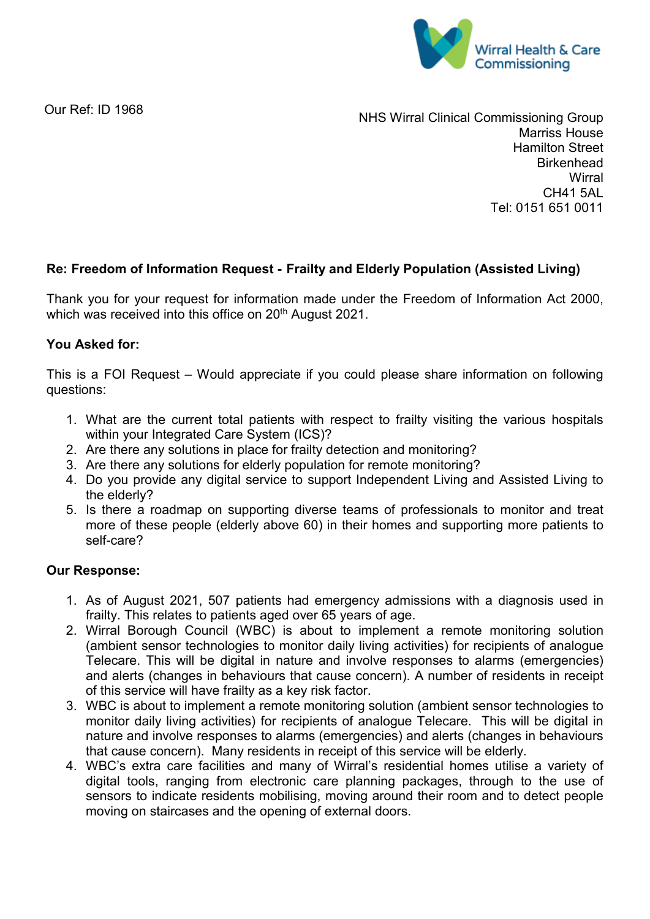

Our Ref: ID 1968

NHS Wirral Clinical Commissioning Group Marriss House Hamilton Street **Birkenhead Wirral** CH41 5AL Tel: 0151 651 0011

## **Re: Freedom of Information Request - Frailty and Elderly Population (Assisted Living)**

Thank you for your request for information made under the Freedom of Information Act 2000, which was received into this office on 20<sup>th</sup> August 2021.

## **You Asked for:**

This is a FOI Request – Would appreciate if you could please share information on following questions:

- 1. What are the current total patients with respect to frailty visiting the various hospitals within your Integrated Care System (ICS)?
- 2. Are there any solutions in place for frailty detection and monitoring?
- 3. Are there any solutions for elderly population for remote monitoring?
- 4. Do you provide any digital service to support Independent Living and Assisted Living to the elderly?
- 5. Is there a roadmap on supporting diverse teams of professionals to monitor and treat more of these people (elderly above 60) in their homes and supporting more patients to self-care?

## **Our Response:**

- 1. As of August 2021, 507 patients had emergency admissions with a diagnosis used in frailty. This relates to patients aged over 65 years of age.
- 2. Wirral Borough Council (WBC) is about to implement a remote monitoring solution (ambient sensor technologies to monitor daily living activities) for recipients of analogue Telecare. This will be digital in nature and involve responses to alarms (emergencies) and alerts (changes in behaviours that cause concern). A number of residents in receipt of this service will have frailty as a key risk factor.
- 3. WBC is about to implement a remote monitoring solution (ambient sensor technologies to monitor daily living activities) for recipients of analogue Telecare. This will be digital in nature and involve responses to alarms (emergencies) and alerts (changes in behaviours that cause concern). Many residents in receipt of this service will be elderly.
- 4. WBC's extra care facilities and many of Wirral's residential homes utilise a variety of digital tools, ranging from electronic care planning packages, through to the use of sensors to indicate residents mobilising, moving around their room and to detect people moving on staircases and the opening of external doors.